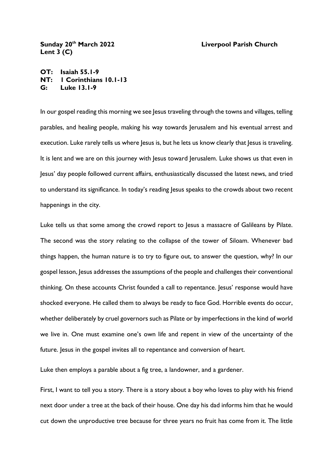## **Sunday 20th March 2022 Liverpool Parish Church Lent 3 (C)**

**OT: Isaiah 55.1-9 NT: 1 Corinthians 10.1-13 G: Luke 13.1-9**

In our gospel reading this morning we see Jesus traveling through the towns and villages, telling parables, and healing people, making his way towards Jerusalem and his eventual arrest and execution. Luke rarely tells us where Jesus is, but he lets us know clearly that Jesus is traveling. It is lent and we are on this journey with Jesus toward Jerusalem. Luke shows us that even in Jesus' day people followed current affairs, enthusiastically discussed the latest news, and tried to understand its significance. In today's reading Jesus speaks to the crowds about two recent happenings in the city.

Luke tells us that some among the crowd report to Jesus a massacre of Galileans by Pilate. The second was the story relating to the collapse of the tower of Siloam. Whenever bad things happen, the human nature is to try to figure out, to answer the question, why? In our gospel lesson, Jesus addresses the assumptions of the people and challenges their conventional thinking. On these accounts Christ founded a call to repentance. Jesus' response would have shocked everyone. He called them to always be ready to face God. Horrible events do occur, whether deliberately by cruel governors such as Pilate or by imperfections in the kind of world we live in. One must examine one's own life and repent in view of the uncertainty of the future. Jesus in the gospel invites all to repentance and conversion of heart.

Luke then employs a parable about a fig tree, a landowner, and a gardener.

First, I want to tell you a story. There is a story about a boy who loves to play with his friend next door under a tree at the back of their house. One day his dad informs him that he would cut down the unproductive tree because for three years no fruit has come from it. The little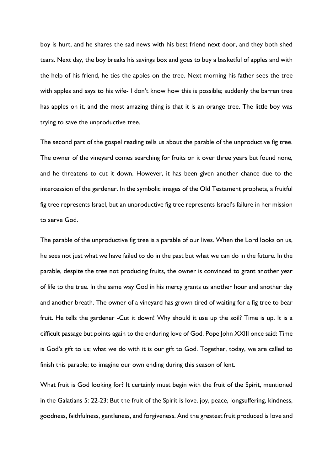boy is hurt, and he shares the sad news with his best friend next door, and they both shed tears. Next day, the boy breaks his savings box and goes to buy a basketful of apples and with the help of his friend, he ties the apples on the tree. Next morning his father sees the tree with apples and says to his wife- I don't know how this is possible; suddenly the barren tree has apples on it, and the most amazing thing is that it is an orange tree. The little boy was trying to save the unproductive tree.

The second part of the gospel reading tells us about the parable of the unproductive fig tree. The owner of the vineyard comes searching for fruits on it over three years but found none, and he threatens to cut it down. However, it has been given another chance due to the intercession of the gardener. In the symbolic images of the Old Testament prophets, a fruitful fig tree represents Israel, but an unproductive fig tree represents Israel's failure in her mission to serve God.

The parable of the unproductive fig tree is a parable of our lives. When the Lord looks on us, he sees not just what we have failed to do in the past but what we can do in the future. In the parable, despite the tree not producing fruits, the owner is convinced to grant another year of life to the tree. In the same way God in his mercy grants us another hour and another day and another breath. The owner of a vineyard has grown tired of waiting for a fig tree to bear fruit. He tells the gardener -Cut it down! Why should it use up the soil? Time is up. It is a difficult passage but points again to the enduring love of God. Pope John XXIII once said: Time is God's gift to us; what we do with it is our gift to God. Together, today, we are called to finish this parable; to imagine our own ending during this season of lent.

What fruit is God looking for? It certainly must begin with the fruit of the Spirit, mentioned in the Galatians 5: 22-23: But the fruit of the Spirit is love, joy, peace, longsuffering, kindness, goodness, faithfulness, gentleness, and forgiveness. And the greatest fruit produced is love and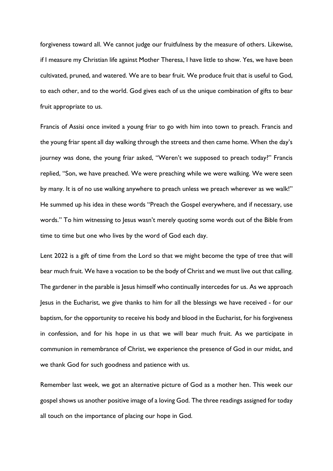forgiveness toward all. We cannot judge our fruitfulness by the measure of others. Likewise, if I measure my Christian life against Mother Theresa, I have little to show. Yes, we have been cultivated, pruned, and watered. We are to bear fruit. We produce fruit that is useful to God, to each other, and to the world. God gives each of us the unique combination of gifts to bear fruit appropriate to us.

Francis of Assisi once invited a young friar to go with him into town to preach. Francis and the young friar spent all day walking through the streets and then came home. When the day's journey was done, the young friar asked, "Weren't we supposed to preach today?" Francis replied, "Son, we have preached. We were preaching while we were walking. We were seen by many. It is of no use walking anywhere to preach unless we preach wherever as we walk!" He summed up his idea in these words "Preach the Gospel everywhere, and if necessary, use words." To him witnessing to Jesus wasn't merely quoting some words out of the Bible from time to time but one who lives by the word of God each day.

Lent 2022 is a gift of time from the Lord so that we might become the type of tree that will bear much fruit. We have a vocation to be the body of Christ and we must live out that calling. The gardener in the parable is Jesus himself who continually intercedes for us. As we approach Jesus in the Eucharist, we give thanks to him for all the blessings we have received - for our baptism, for the opportunity to receive his body and blood in the Eucharist, for his forgiveness in confession, and for his hope in us that we will bear much fruit. As we participate in communion in remembrance of Christ, we experience the presence of God in our midst, and we thank God for such goodness and patience with us.

Remember last week, we got an alternative picture of God as a mother hen. This week our gospel shows us another positive image of a loving God. The three readings assigned for today all touch on the importance of placing our hope in God.